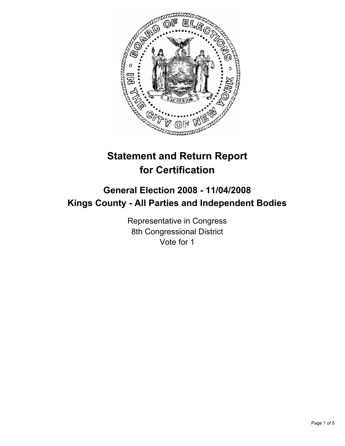

# **Statement and Return Report for Certification**

# **General Election 2008 - 11/04/2008 Kings County - All Parties and Independent Bodies**

Representative in Congress 8th Congressional District Vote for 1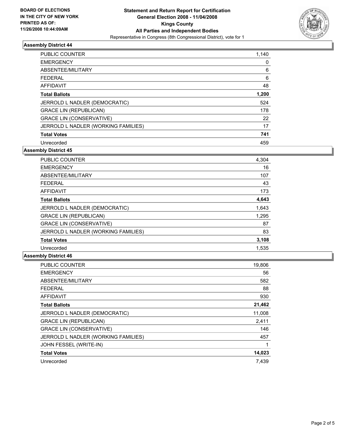

## **Assembly District 44**

| <b>PUBLIC COUNTER</b>               | 1,140 |
|-------------------------------------|-------|
| <b>EMERGENCY</b>                    |       |
| ABSENTEE/MILITARY                   | 6     |
| <b>FEDERAL</b>                      | 6     |
| <b>AFFIDAVIT</b>                    | 48    |
| <b>Total Ballots</b>                | 1,200 |
| JERROLD L NADLER (DEMOCRATIC)       | 524   |
| <b>GRACE LIN (REPUBLICAN)</b>       | 178   |
| <b>GRACE LIN (CONSERVATIVE)</b>     | 22    |
| JERROLD L NADLER (WORKING FAMILIES) | 17    |
| <b>Total Votes</b>                  | 741   |
| Unrecorded                          | 459   |

**Assembly District 45**

| <b>PUBLIC COUNTER</b>               | 4,304 |  |
|-------------------------------------|-------|--|
| <b>EMERGENCY</b>                    | 16    |  |
| ABSENTEE/MILITARY                   | 107   |  |
| <b>FEDERAL</b>                      | 43    |  |
| <b>AFFIDAVIT</b>                    | 173   |  |
| <b>Total Ballots</b>                | 4,643 |  |
| JERROLD L NADLER (DEMOCRATIC)       | 1,643 |  |
| <b>GRACE LIN (REPUBLICAN)</b>       | 1,295 |  |
| <b>GRACE LIN (CONSERVATIVE)</b>     | 87    |  |
| JERROLD L NADLER (WORKING FAMILIES) | 83    |  |
| <b>Total Votes</b>                  | 3,108 |  |
| Unrecorded                          | 1.535 |  |

#### **Assembly District 46**

| 19,806 |
|--------|
| 56     |
| 582    |
| 88     |
| 930    |
| 21,462 |
| 11,008 |
| 2,411  |
| 146    |
| 457    |
|        |
| 14,023 |
| 7,439  |
|        |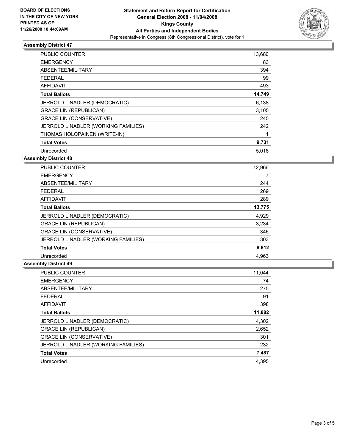

## **Assembly District 47**

| PUBLIC COUNTER                      | 13,680 |
|-------------------------------------|--------|
| <b>EMERGENCY</b>                    | 83     |
| ABSENTEE/MILITARY                   | 394    |
| <b>FEDERAL</b>                      | 99     |
| AFFIDAVIT                           | 493    |
| <b>Total Ballots</b>                | 14,749 |
| JERROLD L NADLER (DEMOCRATIC)       | 6,138  |
| <b>GRACE LIN (REPUBLICAN)</b>       | 3,105  |
| <b>GRACE LIN (CONSERVATIVE)</b>     | 245    |
| JERROLD L NADLER (WORKING FAMILIES) | 242    |
| THOMAS HOLOPAINEN (WRITE-IN)        |        |
| <b>Total Votes</b>                  | 9,731  |
| Unrecorded                          | 5,018  |

## **Assembly District 48**

| <b>PUBLIC COUNTER</b>               | 12,966 |
|-------------------------------------|--------|
| <b>EMERGENCY</b>                    |        |
| ABSENTEE/MILITARY                   | 244    |
| <b>FEDERAL</b>                      | 269    |
| AFFIDAVIT                           | 289    |
| <b>Total Ballots</b>                | 13,775 |
| JERROLD L NADLER (DEMOCRATIC)       | 4,929  |
| <b>GRACE LIN (REPUBLICAN)</b>       | 3,234  |
| <b>GRACE LIN (CONSERVATIVE)</b>     | 346    |
| JERROLD L NADLER (WORKING FAMILIES) | 303    |
| <b>Total Votes</b>                  | 8,812  |
| Unrecorded                          | 4.963  |

## **Assembly District 49**

| <b>PUBLIC COUNTER</b>               | 11,044 |
|-------------------------------------|--------|
| <b>EMERGENCY</b>                    | 74     |
| ABSENTEE/MILITARY                   | 275    |
| <b>FEDERAL</b>                      | 91     |
| <b>AFFIDAVIT</b>                    | 398    |
| <b>Total Ballots</b>                | 11,882 |
| JERROLD L NADLER (DEMOCRATIC)       | 4,302  |
| <b>GRACE LIN (REPUBLICAN)</b>       | 2,652  |
| <b>GRACE LIN (CONSERVATIVE)</b>     | 301    |
| JERROLD L NADLER (WORKING FAMILIES) | 232    |
| <b>Total Votes</b>                  | 7,487  |
| Unrecorded                          | 4.395  |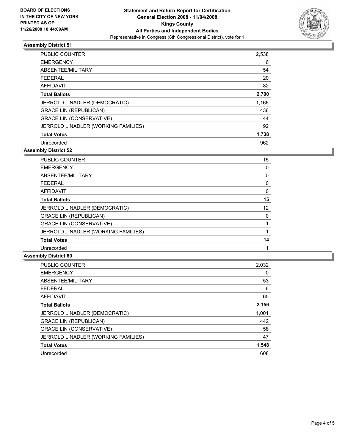

## **Assembly District 51**

| <b>PUBLIC COUNTER</b>               | 2,538 |
|-------------------------------------|-------|
| <b>EMERGENCY</b>                    | 6     |
| ABSENTEE/MILITARY                   | 54    |
| <b>FEDERAL</b>                      | 20    |
| AFFIDAVIT                           | 82    |
| <b>Total Ballots</b>                | 2,700 |
| JERROLD L NADLER (DEMOCRATIC)       | 1,166 |
| <b>GRACE LIN (REPUBLICAN)</b>       | 436   |
| <b>GRACE LIN (CONSERVATIVE)</b>     | 44    |
| JERROLD L NADLER (WORKING FAMILIES) | 92    |
| <b>Total Votes</b>                  | 1,738 |
| Unrecorded                          | 962   |

**Assembly District 52**

| PUBLIC COUNTER                      | 15 |
|-------------------------------------|----|
| <b>EMERGENCY</b>                    |    |
| ABSENTEE/MILITARY                   |    |
| <b>FEDERAL</b>                      |    |
| <b>AFFIDAVIT</b>                    |    |
| <b>Total Ballots</b>                | 15 |
| JERROLD L NADLER (DEMOCRATIC)       | 12 |
| <b>GRACE LIN (REPUBLICAN)</b>       |    |
| <b>GRACE LIN (CONSERVATIVE)</b>     |    |
| JERROLD L NADLER (WORKING FAMILIES) |    |
| <b>Total Votes</b>                  | 14 |
| Unrecorded                          |    |

#### **Assembly District 60**

| 2,032 |
|-------|
| 0     |
| 53    |
| 6     |
| 65    |
| 2,156 |
| 1,001 |
| 442   |
| 58    |
| 47    |
| 1,548 |
| 608   |
|       |